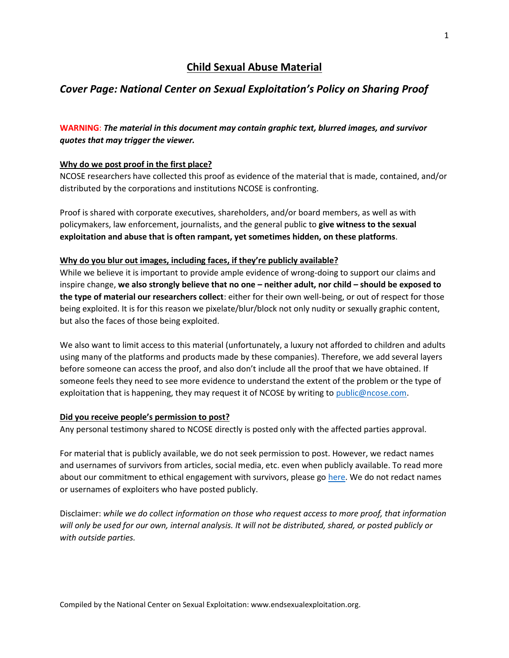# **Child Sexual Abuse Material**

## *Cover Page: National Center on Sexual Exploitation's Policy on Sharing Proof*

### **WARNING**: *The material in this document may contain graphic text, blurred images, and survivor quotes that may trigger the viewer.*

### **Why do we post proof in the first place?**

NCOSE researchers have collected this proof as evidence of the material that is made, contained, and/or distributed by the corporations and institutions NCOSE is confronting.

Proof is shared with corporate executives, shareholders, and/or board members, as well as with policymakers, law enforcement, journalists, and the general public to **give witness to the sexual exploitation and abuse that is often rampant, yet sometimes hidden, on these platforms**.

#### **Why do you blur out images, including faces, if they're publicly available?**

While we believe it is important to provide ample evidence of wrong-doing to support our claims and inspire change, **we also strongly believe that no one – neither adult, nor child – should be exposed to the type of material our researchers collect**: either for their own well-being, or out of respect for those being exploited. It is for this reason we pixelate/blur/block not only nudity or sexually graphic content, but also the faces of those being exploited.

We also want to limit access to this material (unfortunately, a luxury not afforded to children and adults using many of the platforms and products made by these companies). Therefore, we add several layers before someone can access the proof, and also don't include all the proof that we have obtained. If someone feels they need to see more evidence to understand the extent of the problem or the type of exploitation that is happening, they may request it of NCOSE by writing to [public@ncose.com.](mailto:public@ncose.com)

#### **Did you receive people's permission to post?**

Any personal testimony shared to NCOSE directly is posted only with the affected parties approval.

For material that is publicly available, we do not seek permission to post. However, we redact names and usernames of survivors from articles, social media, etc. even when publicly available. To read more about our commitment to ethical engagement with survivors, please g[o here.](https://endsexualexploitation.org/walking-alongside-survivors/) We do not redact names or usernames of exploiters who have posted publicly.

Disclaimer: *while we do collect information on those who request access to more proof, that information will only be used for our own, internal analysis. It will not be distributed, shared, or posted publicly or with outside parties.*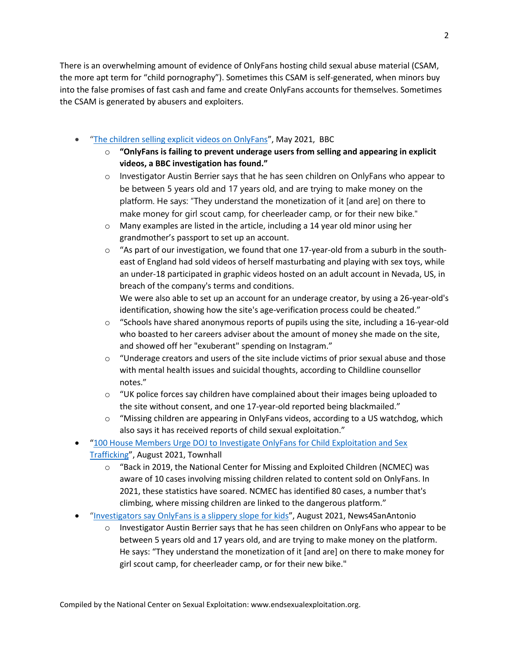There is an overwhelming amount of evidence of OnlyFans hosting child sexual abuse material (CSAM, the more apt term for "child pornography"). Sometimes this CSAM is self-generated, when minors buy into the false promises of fast cash and fame and create OnlyFans accounts for themselves. Sometimes the CSAM is generated by abusers and exploiters.

- "[The children selling explicit videos on OnlyFans](https://www.bbc.com/news/uk-57255983)", May 2021, BBC
	- o **"OnlyFans is failing to prevent underage users from selling and appearing in explicit videos, a BBC investigation has found."**
	- $\circ$  Investigator Austin Berrier says that he has seen children on OnlyFans who appear to be between 5 years old and 17 years old, and are trying to make money on the platform. He says: "They understand the monetization of it [and are] on there to make money for girl scout camp, for cheerleader camp, or for their new bike."
	- $\circ$  Many examples are listed in the article, including a 14 year old minor using her grandmother's passport to set up an account.
	- $\circ$  "As part of our investigation, we found that one 17-year-old from a suburb in the southeast of England had sold videos of herself masturbating and playing with sex toys, while an under-18 participated in graphic videos hosted on an adult account in Nevada, US, in breach of the company's terms and conditions.

We were also able to set up an account for an underage creator, by using a 26-year-old's identification, showing how the site's age-verification process could be cheated."

- $\circ$  "Schools have shared anonymous reports of pupils using the site, including a 16-year-old who boasted to her careers adviser about the amount of money she made on the site, and showed off her "exuberant" spending on Instagram."
- $\circ$  "Underage creators and users of the site include victims of prior sexual abuse and those with mental health issues and suicidal thoughts, according to Childline counsellor notes."
- $\circ$  "UK police forces say children have complained about their images being uploaded to the site without consent, and one 17-year-old reported being blackmailed."
- $\circ$  "Missing children are appearing in OnlyFans videos, according to a US watchdog, which also says it has received reports of child sexual exploitation."
- "[100 House Members Urge DOJ to Investigate OnlyFans for Child Exploitation and Sex](https://townhall.com/tipsheet/madelineleesman/2021/08/12/bipartisan-doj-investigation-into-onlyfans-n2594066)  [Trafficking](https://townhall.com/tipsheet/madelineleesman/2021/08/12/bipartisan-doj-investigation-into-onlyfans-n2594066)", August 2021, Townhall
	- $\circ$  "Back in 2019, the National Center for Missing and Exploited Children (NCMEC) was aware of 10 cases involving missing children related to content sold on OnlyFans. In 2021, these statistics have soared. NCMEC has identified 80 cases, a number that's climbing, where missing children are linked to the dangerous platform."
- "[Investigators say OnlyFans is a slippery slope for kids](https://news4sanantonio.com/news/local/investigators-say-onlyfans-is-a-slippery-slope-for-kids)", August 2021, News4SanAntonio
	- $\circ$  Investigator Austin Berrier says that he has seen children on OnlyFans who appear to be between 5 years old and 17 years old, and are trying to make money on the platform. He says: "They understand the monetization of it [and are] on there to make money for girl scout camp, for cheerleader camp, or for their new bike."